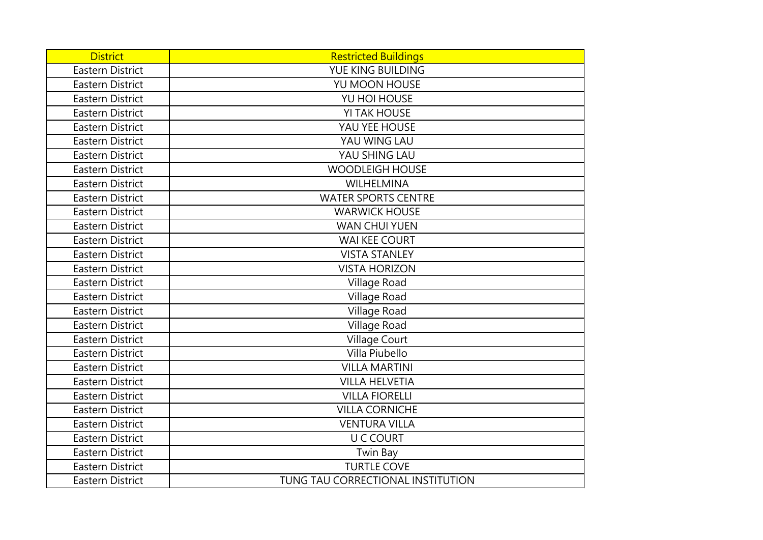| <b>District</b>         | <b>Restricted Buildings</b>       |
|-------------------------|-----------------------------------|
| <b>Eastern District</b> | YUE KING BUILDING                 |
| <b>Eastern District</b> | YU MOON HOUSE                     |
| <b>Eastern District</b> | YU HOI HOUSE                      |
| <b>Eastern District</b> | <b>YI TAK HOUSE</b>               |
| <b>Eastern District</b> | YAU YEE HOUSE                     |
| <b>Eastern District</b> | YAU WING LAU                      |
| Eastern District        | YAU SHING LAU                     |
| <b>Eastern District</b> | <b>WOODLEIGH HOUSE</b>            |
| <b>Eastern District</b> | WILHELMINA                        |
| <b>Eastern District</b> | <b>WATER SPORTS CENTRE</b>        |
| <b>Eastern District</b> | <b>WARWICK HOUSE</b>              |
| <b>Eastern District</b> | <b>WAN CHUI YUEN</b>              |
| <b>Eastern District</b> | <b>WAI KEE COURT</b>              |
| <b>Eastern District</b> | <b>VISTA STANLEY</b>              |
| <b>Eastern District</b> | <b>VISTA HORIZON</b>              |
| <b>Eastern District</b> | Village Road                      |
| <b>Eastern District</b> | Village Road                      |
| <b>Eastern District</b> | Village Road                      |
| <b>Eastern District</b> | Village Road                      |
| <b>Eastern District</b> | <b>Village Court</b>              |
| <b>Eastern District</b> | Villa Piubello                    |
| <b>Eastern District</b> | <b>VILLA MARTINI</b>              |
| <b>Eastern District</b> | <b>VILLA HELVETIA</b>             |
| <b>Eastern District</b> | <b>VILLA FIORELLI</b>             |
| <b>Eastern District</b> | <b>VILLA CORNICHE</b>             |
| <b>Eastern District</b> | <b>VENTURA VILLA</b>              |
| <b>Eastern District</b> | <b>U C COURT</b>                  |
| <b>Eastern District</b> | Twin Bay                          |
| <b>Eastern District</b> | <b>TURTLE COVE</b>                |
| <b>Eastern District</b> | TUNG TAU CORRECTIONAL INSTITUTION |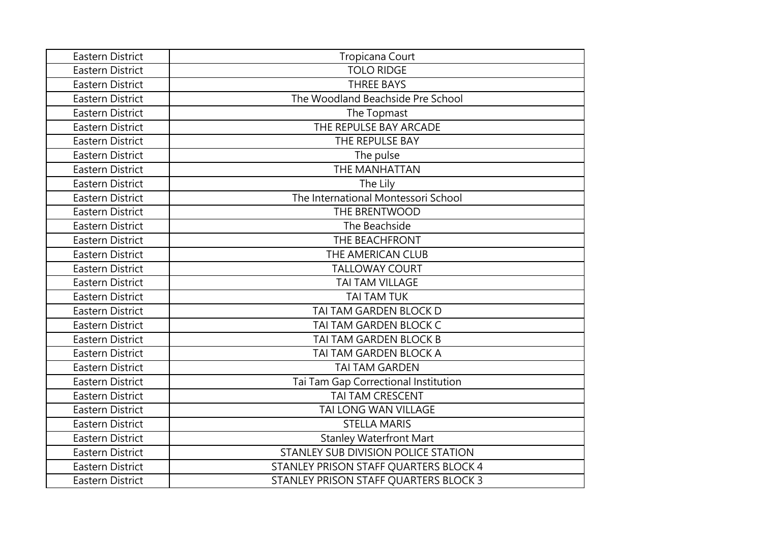| <b>Eastern District</b> | Tropicana Court                       |
|-------------------------|---------------------------------------|
| <b>Eastern District</b> | <b>TOLO RIDGE</b>                     |
| <b>Eastern District</b> | <b>THREE BAYS</b>                     |
| <b>Eastern District</b> | The Woodland Beachside Pre School     |
| <b>Eastern District</b> | The Topmast                           |
| <b>Eastern District</b> | THE REPULSE BAY ARCADE                |
| <b>Eastern District</b> | THE REPULSE BAY                       |
| <b>Eastern District</b> | The pulse                             |
| <b>Eastern District</b> | THE MANHATTAN                         |
| <b>Eastern District</b> | The Lily                              |
| <b>Eastern District</b> | The International Montessori School   |
| <b>Eastern District</b> | THE BRENTWOOD                         |
| <b>Eastern District</b> | The Beachside                         |
| <b>Eastern District</b> | THE BEACHFRONT                        |
| Eastern District        | THE AMERICAN CLUB                     |
| <b>Eastern District</b> | <b>TALLOWAY COURT</b>                 |
| <b>Eastern District</b> | TAI TAM VILLAGE                       |
| <b>Eastern District</b> | <b>TAI TAM TUK</b>                    |
| <b>Eastern District</b> | TAI TAM GARDEN BLOCK D                |
| Eastern District        | TAI TAM GARDEN BLOCK C                |
| <b>Eastern District</b> | TAI TAM GARDEN BLOCK B                |
| <b>Eastern District</b> | TAI TAM GARDEN BLOCK A                |
| <b>Eastern District</b> | <b>TAI TAM GARDEN</b>                 |
| <b>Eastern District</b> | Tai Tam Gap Correctional Institution  |
| <b>Eastern District</b> | TAI TAM CRESCENT                      |
| <b>Eastern District</b> | TAI LONG WAN VILLAGE                  |
| <b>Eastern District</b> | <b>STELLA MARIS</b>                   |
| <b>Eastern District</b> | <b>Stanley Waterfront Mart</b>        |
| <b>Eastern District</b> | STANLEY SUB DIVISION POLICE STATION   |
| <b>Eastern District</b> | STANLEY PRISON STAFF QUARTERS BLOCK 4 |
| Eastern District        | STANLEY PRISON STAFF QUARTERS BLOCK 3 |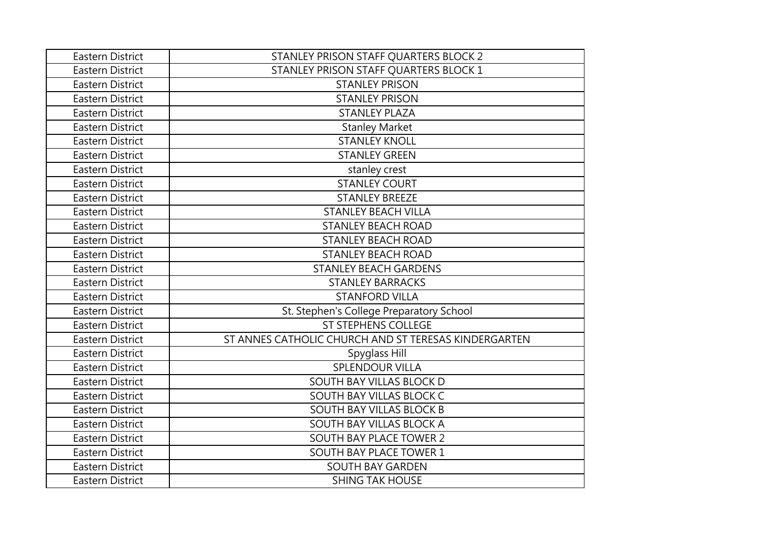| Eastern District        | STANLEY PRISON STAFF QUARTERS BLOCK 2                |
|-------------------------|------------------------------------------------------|
| <b>Eastern District</b> | STANLEY PRISON STAFF QUARTERS BLOCK 1                |
| <b>Eastern District</b> | <b>STANLEY PRISON</b>                                |
| Eastern District        | <b>STANLEY PRISON</b>                                |
| Eastern District        | <b>STANLEY PLAZA</b>                                 |
| Eastern District        | <b>Stanley Market</b>                                |
| <b>Eastern District</b> | <b>STANLEY KNOLL</b>                                 |
| <b>Eastern District</b> | <b>STANLEY GREEN</b>                                 |
| <b>Eastern District</b> | stanley crest                                        |
| Eastern District        | <b>STANLEY COURT</b>                                 |
| <b>Eastern District</b> | <b>STANLEY BREEZE</b>                                |
| <b>Eastern District</b> | <b>STANLEY BEACH VILLA</b>                           |
| <b>Eastern District</b> | <b>STANLEY BEACH ROAD</b>                            |
| <b>Eastern District</b> | <b>STANLEY BEACH ROAD</b>                            |
| <b>Eastern District</b> | <b>STANLEY BEACH ROAD</b>                            |
| <b>Eastern District</b> | <b>STANLEY BEACH GARDENS</b>                         |
| <b>Eastern District</b> | <b>STANLEY BARRACKS</b>                              |
| <b>Eastern District</b> | <b>STANFORD VILLA</b>                                |
| <b>Eastern District</b> | St. Stephen's College Preparatory School             |
| <b>Eastern District</b> | <b>ST STEPHENS COLLEGE</b>                           |
| <b>Eastern District</b> | ST ANNES CATHOLIC CHURCH AND ST TERESAS KINDERGARTEN |
| <b>Eastern District</b> | Spyglass Hill                                        |
| <b>Eastern District</b> | <b>SPLENDOUR VILLA</b>                               |
| <b>Eastern District</b> | SOUTH BAY VILLAS BLOCK D                             |
| <b>Eastern District</b> | SOUTH BAY VILLAS BLOCK C                             |
| <b>Eastern District</b> | SOUTH BAY VILLAS BLOCK B                             |
| <b>Eastern District</b> | SOUTH BAY VILLAS BLOCK A                             |
| <b>Eastern District</b> | <b>SOUTH BAY PLACE TOWER 2</b>                       |
| <b>Eastern District</b> | SOUTH BAY PLACE TOWER 1                              |
| <b>Eastern District</b> | <b>SOUTH BAY GARDEN</b>                              |
| Eastern District        | <b>SHING TAK HOUSE</b>                               |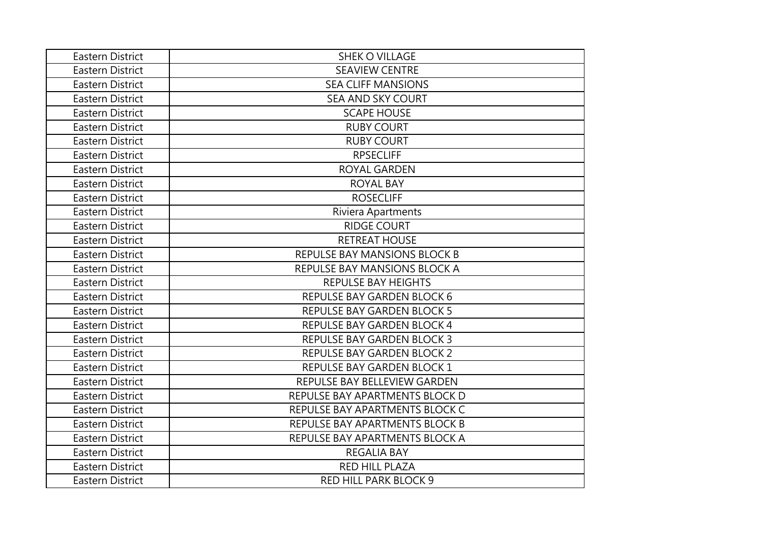| Eastern District        | <b>SHEK O VILLAGE</b>             |
|-------------------------|-----------------------------------|
| Eastern District        | <b>SEAVIEW CENTRE</b>             |
| Eastern District        | <b>SEA CLIFF MANSIONS</b>         |
| Eastern District        | <b>SEA AND SKY COURT</b>          |
| Eastern District        | <b>SCAPE HOUSE</b>                |
| Eastern District        | <b>RUBY COURT</b>                 |
| Eastern District        | <b>RUBY COURT</b>                 |
| Eastern District        | <b>RPSECLIFF</b>                  |
| Eastern District        | ROYAL GARDEN                      |
| Eastern District        | <b>ROYAL BAY</b>                  |
| Eastern District        | <b>ROSECLIFF</b>                  |
| <b>Eastern District</b> | Riviera Apartments                |
| Eastern District        | <b>RIDGE COURT</b>                |
| Eastern District        | <b>RETREAT HOUSE</b>              |
| Eastern District        | REPULSE BAY MANSIONS BLOCK B      |
| Eastern District        | REPULSE BAY MANSIONS BLOCK A      |
| Eastern District        | <b>REPULSE BAY HEIGHTS</b>        |
| Eastern District        | <b>REPULSE BAY GARDEN BLOCK 6</b> |
| <b>Eastern District</b> | <b>REPULSE BAY GARDEN BLOCK 5</b> |
| Eastern District        | <b>REPULSE BAY GARDEN BLOCK 4</b> |
| Eastern District        | REPULSE BAY GARDEN BLOCK 3        |
| Eastern District        | REPULSE BAY GARDEN BLOCK 2        |
| Eastern District        | REPULSE BAY GARDEN BLOCK 1        |
| <b>Eastern District</b> | REPULSE BAY BELLEVIEW GARDEN      |
| Eastern District        | REPULSE BAY APARTMENTS BLOCK D    |
| Eastern District        | REPULSE BAY APARTMENTS BLOCK C    |
| Eastern District        | REPULSE BAY APARTMENTS BLOCK B    |
| Eastern District        | REPULSE BAY APARTMENTS BLOCK A    |
| Eastern District        | <b>REGALIA BAY</b>                |
| Eastern District        | <b>RED HILL PLAZA</b>             |
| Eastern District        | <b>RED HILL PARK BLOCK 9</b>      |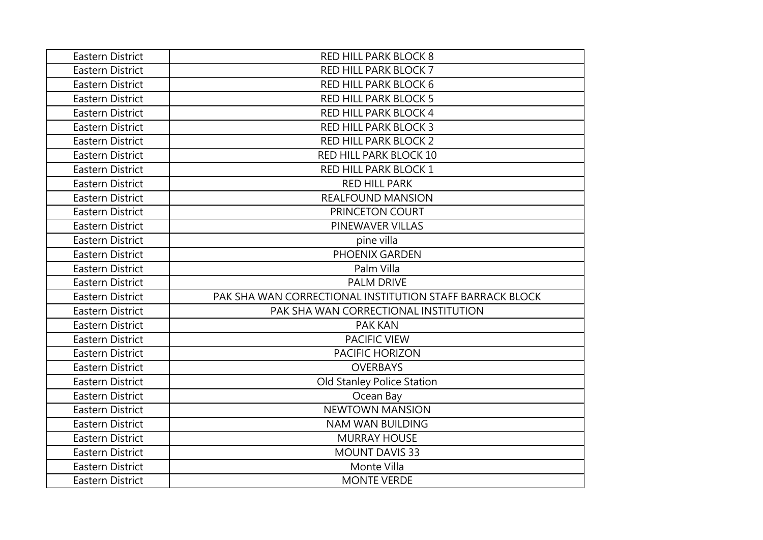| Eastern District        | <b>RED HILL PARK BLOCK 8</b>                             |
|-------------------------|----------------------------------------------------------|
| <b>Eastern District</b> | <b>RED HILL PARK BLOCK 7</b>                             |
| Eastern District        | <b>RED HILL PARK BLOCK 6</b>                             |
| Eastern District        | <b>RED HILL PARK BLOCK 5</b>                             |
| Eastern District        | <b>RED HILL PARK BLOCK 4</b>                             |
| Eastern District        | <b>RED HILL PARK BLOCK 3</b>                             |
| <b>Eastern District</b> | <b>RED HILL PARK BLOCK 2</b>                             |
| <b>Eastern District</b> | RED HILL PARK BLOCK 10                                   |
| <b>Eastern District</b> | RED HILL PARK BLOCK 1                                    |
| Eastern District        | <b>RED HILL PARK</b>                                     |
| Eastern District        | <b>REALFOUND MANSION</b>                                 |
| Eastern District        | PRINCETON COURT                                          |
| Eastern District        | PINEWAVER VILLAS                                         |
| Eastern District        | pine villa                                               |
| Eastern District        | PHOENIX GARDEN                                           |
| Eastern District        | Palm Villa                                               |
| <b>Eastern District</b> | <b>PALM DRIVE</b>                                        |
| Eastern District        | PAK SHA WAN CORRECTIONAL INSTITUTION STAFF BARRACK BLOCK |
| <b>Eastern District</b> | PAK SHA WAN CORRECTIONAL INSTITUTION                     |
| <b>Eastern District</b> | <b>PAK KAN</b>                                           |
| Eastern District        | <b>PACIFIC VIEW</b>                                      |
| Eastern District        | <b>PACIFIC HORIZON</b>                                   |
| Eastern District        | <b>OVERBAYS</b>                                          |
| Eastern District        | Old Stanley Police Station                               |
| Eastern District        | Ocean Bay                                                |
| Eastern District        | <b>NEWTOWN MANSION</b>                                   |
| Eastern District        | <b>NAM WAN BUILDING</b>                                  |
| Eastern District        | <b>MURRAY HOUSE</b>                                      |
| <b>Eastern District</b> | <b>MOUNT DAVIS 33</b>                                    |
| Eastern District        | Monte Villa                                              |
| Eastern District        | <b>MONTE VERDE</b>                                       |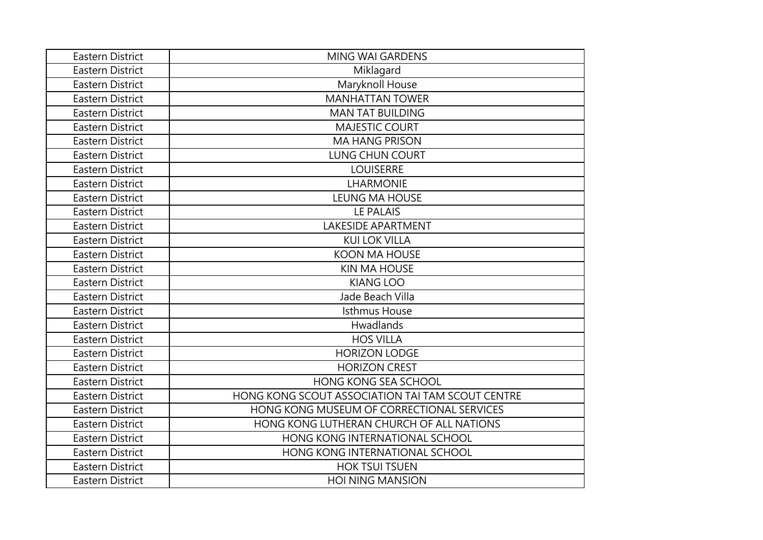| <b>Eastern District</b> | <b>MING WAI GARDENS</b>                          |
|-------------------------|--------------------------------------------------|
| <b>Eastern District</b> | Miklagard                                        |
| <b>Eastern District</b> | Maryknoll House                                  |
| Eastern District        | <b>MANHATTAN TOWER</b>                           |
| <b>Eastern District</b> | <b>MAN TAT BUILDING</b>                          |
| <b>Eastern District</b> | <b>MAJESTIC COURT</b>                            |
| <b>Eastern District</b> | <b>MA HANG PRISON</b>                            |
| <b>Eastern District</b> | <b>LUNG CHUN COURT</b>                           |
| <b>Eastern District</b> | <b>LOUISERRE</b>                                 |
| <b>Eastern District</b> | LHARMONIE                                        |
| <b>Eastern District</b> | <b>LEUNG MA HOUSE</b>                            |
| <b>Eastern District</b> | <b>LE PALAIS</b>                                 |
| Eastern District        | <b>LAKESIDE APARTMENT</b>                        |
| <b>Eastern District</b> | <b>KUI LOK VILLA</b>                             |
| <b>Eastern District</b> | <b>KOON MA HOUSE</b>                             |
| <b>Eastern District</b> | <b>KIN MA HOUSE</b>                              |
| <b>Eastern District</b> | <b>KIANG LOO</b>                                 |
| <b>Eastern District</b> | Jade Beach Villa                                 |
| <b>Eastern District</b> | <b>Isthmus House</b>                             |
| <b>Eastern District</b> | Hwadlands                                        |
| Eastern District        | <b>HOS VILLA</b>                                 |
| <b>Eastern District</b> | <b>HORIZON LODGE</b>                             |
| <b>Eastern District</b> | <b>HORIZON CREST</b>                             |
| <b>Eastern District</b> | <b>HONG KONG SEA SCHOOL</b>                      |
| Eastern District        | HONG KONG SCOUT ASSOCIATION TAI TAM SCOUT CENTRE |
| <b>Eastern District</b> | HONG KONG MUSEUM OF CORRECTIONAL SERVICES        |
| <b>Eastern District</b> | HONG KONG LUTHERAN CHURCH OF ALL NATIONS         |
| <b>Eastern District</b> | HONG KONG INTERNATIONAL SCHOOL                   |
| <b>Eastern District</b> | HONG KONG INTERNATIONAL SCHOOL                   |
| Eastern District        | <b>HOK TSUI TSUEN</b>                            |
| Eastern District        | <b>HOI NING MANSION</b>                          |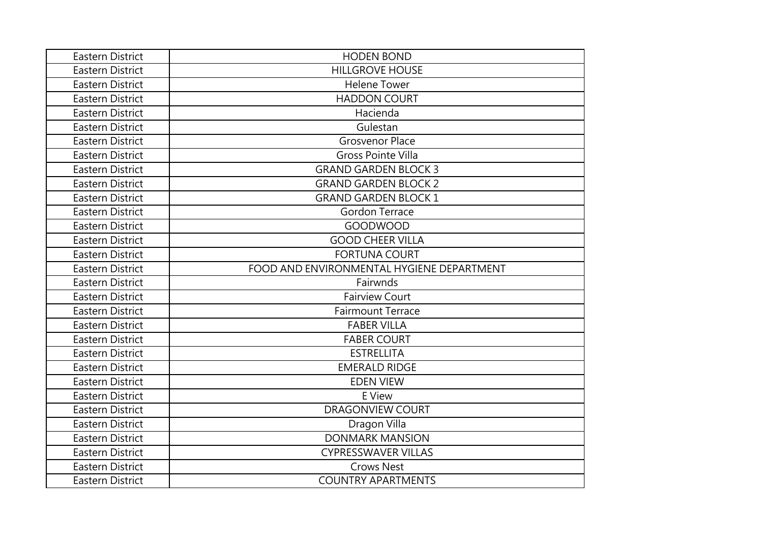| Eastern District        | <b>HODEN BOND</b>                         |
|-------------------------|-------------------------------------------|
| Eastern District        | <b>HILLGROVE HOUSE</b>                    |
| Eastern District        | <b>Helene Tower</b>                       |
| Eastern District        | <b>HADDON COURT</b>                       |
| Eastern District        | Hacienda                                  |
| Eastern District        | Gulestan                                  |
| <b>Eastern District</b> | <b>Grosvenor Place</b>                    |
| <b>Eastern District</b> | <b>Gross Pointe Villa</b>                 |
| <b>Eastern District</b> | <b>GRAND GARDEN BLOCK 3</b>               |
| <b>Eastern District</b> | <b>GRAND GARDEN BLOCK 2</b>               |
| <b>Eastern District</b> | <b>GRAND GARDEN BLOCK 1</b>               |
| <b>Eastern District</b> | <b>Gordon Terrace</b>                     |
| Eastern District        | <b>GOODWOOD</b>                           |
| Eastern District        | <b>GOOD CHEER VILLA</b>                   |
| Eastern District        | <b>FORTUNA COURT</b>                      |
| <b>Eastern District</b> | FOOD AND ENVIRONMENTAL HYGIENE DEPARTMENT |
| <b>Eastern District</b> | Fairwnds                                  |
| <b>Eastern District</b> | <b>Fairview Court</b>                     |
| <b>Eastern District</b> | <b>Fairmount Terrace</b>                  |
| <b>Eastern District</b> | <b>FABER VILLA</b>                        |
| Eastern District        | <b>FABER COURT</b>                        |
| <b>Eastern District</b> | <b>ESTRELLITA</b>                         |
| Eastern District        | <b>EMERALD RIDGE</b>                      |
| <b>Eastern District</b> | <b>EDEN VIEW</b>                          |
| Eastern District        | E View                                    |
| <b>Eastern District</b> | <b>DRAGONVIEW COURT</b>                   |
| <b>Eastern District</b> | Dragon Villa                              |
| <b>Eastern District</b> | <b>DONMARK MANSION</b>                    |
| <b>Eastern District</b> | <b>CYPRESSWAVER VILLAS</b>                |
| <b>Eastern District</b> | <b>Crows Nest</b>                         |
| Eastern District        | <b>COUNTRY APARTMENTS</b>                 |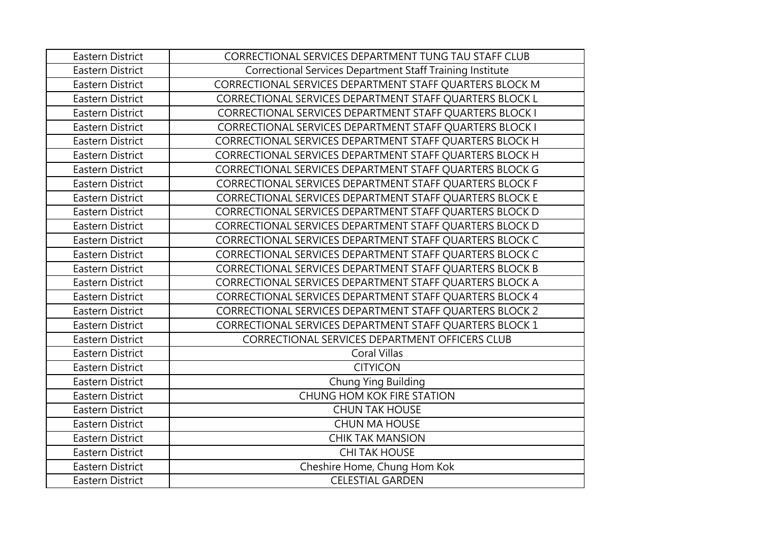| <b>Eastern District</b> | CORRECTIONAL SERVICES DEPARTMENT TUNG TAU STAFF CLUB      |
|-------------------------|-----------------------------------------------------------|
| <b>Eastern District</b> | Correctional Services Department Staff Training Institute |
| <b>Eastern District</b> | CORRECTIONAL SERVICES DEPARTMENT STAFF QUARTERS BLOCK M   |
| <b>Eastern District</b> | CORRECTIONAL SERVICES DEPARTMENT STAFF QUARTERS BLOCK L   |
| Eastern District        | CORRECTIONAL SERVICES DEPARTMENT STAFF QUARTERS BLOCK I   |
| Eastern District        | CORRECTIONAL SERVICES DEPARTMENT STAFF QUARTERS BLOCK I   |
| <b>Eastern District</b> | CORRECTIONAL SERVICES DEPARTMENT STAFF QUARTERS BLOCK H   |
| <b>Eastern District</b> | CORRECTIONAL SERVICES DEPARTMENT STAFF QUARTERS BLOCK H   |
| Eastern District        | CORRECTIONAL SERVICES DEPARTMENT STAFF QUARTERS BLOCK G   |
| Eastern District        | CORRECTIONAL SERVICES DEPARTMENT STAFF QUARTERS BLOCK F   |
| Eastern District        | CORRECTIONAL SERVICES DEPARTMENT STAFF QUARTERS BLOCK E   |
| <b>Eastern District</b> | CORRECTIONAL SERVICES DEPARTMENT STAFF QUARTERS BLOCK D   |
| <b>Eastern District</b> | CORRECTIONAL SERVICES DEPARTMENT STAFF QUARTERS BLOCK D   |
| <b>Eastern District</b> | CORRECTIONAL SERVICES DEPARTMENT STAFF QUARTERS BLOCK C   |
| Eastern District        | CORRECTIONAL SERVICES DEPARTMENT STAFF QUARTERS BLOCK C   |
| <b>Eastern District</b> | CORRECTIONAL SERVICES DEPARTMENT STAFF QUARTERS BLOCK B   |
| <b>Eastern District</b> | CORRECTIONAL SERVICES DEPARTMENT STAFF QUARTERS BLOCK A   |
| Eastern District        | CORRECTIONAL SERVICES DEPARTMENT STAFF QUARTERS BLOCK 4   |
| <b>Eastern District</b> | CORRECTIONAL SERVICES DEPARTMENT STAFF QUARTERS BLOCK 2   |
| <b>Eastern District</b> | CORRECTIONAL SERVICES DEPARTMENT STAFF QUARTERS BLOCK 1   |
| Eastern District        | CORRECTIONAL SERVICES DEPARTMENT OFFICERS CLUB            |
| <b>Eastern District</b> | <b>Coral Villas</b>                                       |
| <b>Eastern District</b> | <b>CITYICON</b>                                           |
| <b>Eastern District</b> | Chung Ying Building                                       |
| <b>Eastern District</b> | <b>CHUNG HOM KOK FIRE STATION</b>                         |
| Eastern District        | <b>CHUN TAK HOUSE</b>                                     |
| Eastern District        | <b>CHUN MA HOUSE</b>                                      |
| Eastern District        | <b>CHIK TAK MANSION</b>                                   |
| <b>Eastern District</b> | <b>CHI TAK HOUSE</b>                                      |
| <b>Eastern District</b> | Cheshire Home, Chung Hom Kok                              |
| <b>Eastern District</b> | <b>CELESTIAL GARDEN</b>                                   |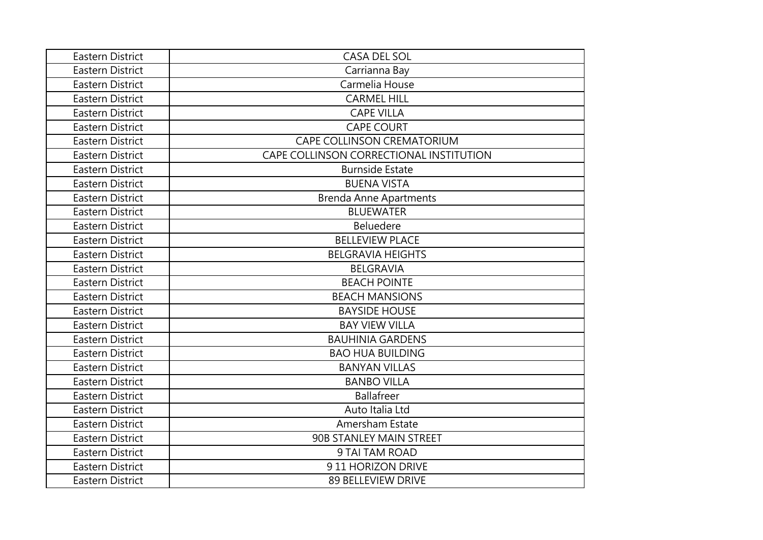| Eastern District        | CASA DEL SOL                            |
|-------------------------|-----------------------------------------|
| <b>Eastern District</b> | Carrianna Bay                           |
| Eastern District        | Carmelia House                          |
| <b>Eastern District</b> | <b>CARMEL HILL</b>                      |
| Eastern District        | <b>CAPE VILLA</b>                       |
| <b>Eastern District</b> | <b>CAPE COURT</b>                       |
| <b>Eastern District</b> | CAPE COLLINSON CREMATORIUM              |
| <b>Eastern District</b> | CAPE COLLINSON CORRECTIONAL INSTITUTION |
| <b>Eastern District</b> | <b>Burnside Estate</b>                  |
| <b>Eastern District</b> | <b>BUENA VISTA</b>                      |
| <b>Eastern District</b> | <b>Brenda Anne Apartments</b>           |
| <b>Eastern District</b> | <b>BLUEWATER</b>                        |
| <b>Eastern District</b> | <b>Beluedere</b>                        |
| Eastern District        | <b>BELLEVIEW PLACE</b>                  |
| <b>Eastern District</b> | <b>BELGRAVIA HEIGHTS</b>                |
| <b>Eastern District</b> | <b>BELGRAVIA</b>                        |
| <b>Eastern District</b> | <b>BEACH POINTE</b>                     |
| <b>Eastern District</b> | <b>BEACH MANSIONS</b>                   |
| <b>Eastern District</b> | <b>BAYSIDE HOUSE</b>                    |
| <b>Eastern District</b> | <b>BAY VIEW VILLA</b>                   |
| <b>Eastern District</b> | <b>BAUHINIA GARDENS</b>                 |
| <b>Eastern District</b> | <b>BAO HUA BUILDING</b>                 |
| Eastern District        | <b>BANYAN VILLAS</b>                    |
| <b>Eastern District</b> | <b>BANBO VILLA</b>                      |
| <b>Eastern District</b> | <b>Ballafreer</b>                       |
| <b>Eastern District</b> | Auto Italia Ltd                         |
| <b>Eastern District</b> | Amersham Estate                         |
| <b>Eastern District</b> | 90B STANLEY MAIN STREET                 |
| <b>Eastern District</b> | 9 TAI TAM ROAD                          |
| <b>Eastern District</b> | 911 HORIZON DRIVE                       |
| Eastern District        | <b>89 BELLEVIEW DRIVE</b>               |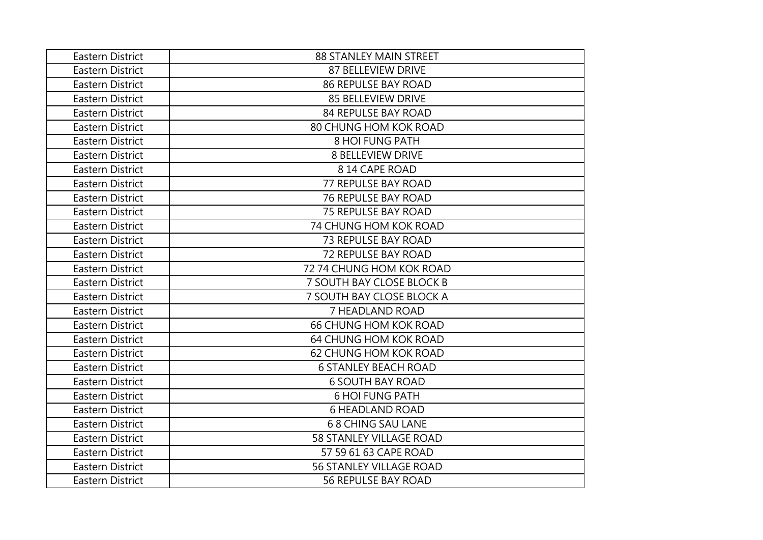| Eastern District | <b>88 STANLEY MAIN STREET</b>  |
|------------------|--------------------------------|
| Eastern District | 87 BELLEVIEW DRIVE             |
| Eastern District | <b>86 REPULSE BAY ROAD</b>     |
| Eastern District | <b>85 BELLEVIEW DRIVE</b>      |
| Eastern District | 84 REPULSE BAY ROAD            |
| Eastern District | 80 CHUNG HOM KOK ROAD          |
| Eastern District | <b>8 HOI FUNG PATH</b>         |
| Eastern District | <b>8 BELLEVIEW DRIVE</b>       |
| Eastern District | 814 CAPE ROAD                  |
| Eastern District | 77 REPULSE BAY ROAD            |
| Eastern District | <b>76 REPULSE BAY ROAD</b>     |
| Eastern District | <b>75 REPULSE BAY ROAD</b>     |
| Eastern District | 74 CHUNG HOM KOK ROAD          |
| Eastern District | <b>73 REPULSE BAY ROAD</b>     |
| Eastern District | <b>72 REPULSE BAY ROAD</b>     |
| Eastern District | 72 74 CHUNG HOM KOK ROAD       |
| Eastern District | 7 SOUTH BAY CLOSE BLOCK B      |
| Eastern District | 7 SOUTH BAY CLOSE BLOCK A      |
| Eastern District | 7 HEADLAND ROAD                |
| Eastern District | <b>66 CHUNG HOM KOK ROAD</b>   |
| Eastern District | 64 CHUNG HOM KOK ROAD          |
| Eastern District | 62 CHUNG HOM KOK ROAD          |
| Eastern District | <b>6 STANLEY BEACH ROAD</b>    |
| Eastern District | <b>6 SOUTH BAY ROAD</b>        |
| Eastern District | <b>6 HOI FUNG PATH</b>         |
| Eastern District | <b>6 HEADLAND ROAD</b>         |
| Eastern District | <b>68 CHING SAU LANE</b>       |
| Eastern District | <b>58 STANLEY VILLAGE ROAD</b> |
| Eastern District | 57 59 61 63 CAPE ROAD          |
| Eastern District | <b>56 STANLEY VILLAGE ROAD</b> |
| Eastern District | <b>56 REPULSE BAY ROAD</b>     |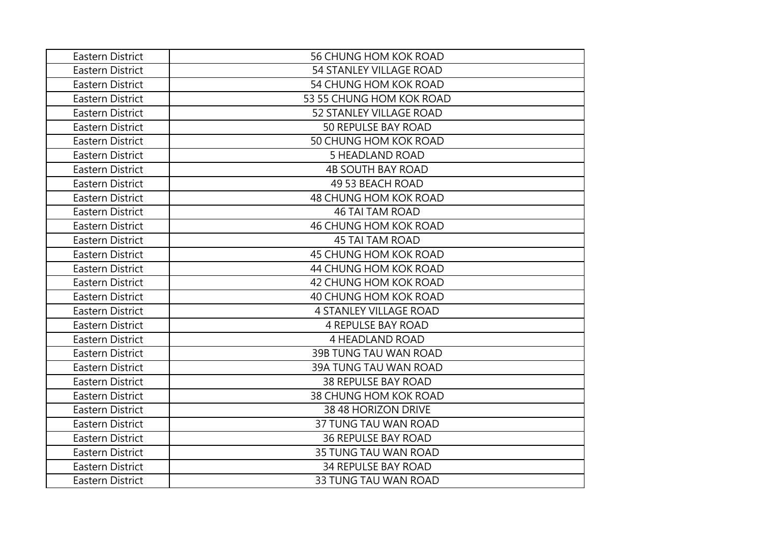| Eastern District | 56 CHUNG HOM KOK ROAD         |
|------------------|-------------------------------|
| Eastern District | 54 STANLEY VILLAGE ROAD       |
| Eastern District | <b>54 CHUNG HOM KOK ROAD</b>  |
| Eastern District | 53 55 CHUNG HOM KOK ROAD      |
| Eastern District | 52 STANLEY VILLAGE ROAD       |
| Eastern District | 50 REPULSE BAY ROAD           |
| Eastern District | 50 CHUNG HOM KOK ROAD         |
| Eastern District | <b>5 HEADLAND ROAD</b>        |
| Eastern District | <b>4B SOUTH BAY ROAD</b>      |
| Eastern District | 49 53 BEACH ROAD              |
| Eastern District | 48 CHUNG HOM KOK ROAD         |
| Eastern District | <b>46 TAI TAM ROAD</b>        |
| Eastern District | 46 CHUNG HOM KOK ROAD         |
| Eastern District | <b>45 TAI TAM ROAD</b>        |
| Eastern District | 45 CHUNG HOM KOK ROAD         |
| Eastern District | 44 CHUNG HOM KOK ROAD         |
| Eastern District | 42 CHUNG HOM KOK ROAD         |
| Eastern District | 40 CHUNG HOM KOK ROAD         |
| Eastern District | <b>4 STANLEY VILLAGE ROAD</b> |
| Eastern District | <b>4 REPULSE BAY ROAD</b>     |
| Eastern District | <b>4 HEADLAND ROAD</b>        |
| Eastern District | 39B TUNG TAU WAN ROAD         |
| Eastern District | 39A TUNG TAU WAN ROAD         |
| Eastern District | <b>38 REPULSE BAY ROAD</b>    |
| Eastern District | 38 CHUNG HOM KOK ROAD         |
| Eastern District | 38 48 HORIZON DRIVE           |
| Eastern District | 37 TUNG TAU WAN ROAD          |
| Eastern District | <b>36 REPULSE BAY ROAD</b>    |
| Eastern District | 35 TUNG TAU WAN ROAD          |
| Eastern District | <b>34 REPULSE BAY ROAD</b>    |
| Eastern District | <b>33 TUNG TAU WAN ROAD</b>   |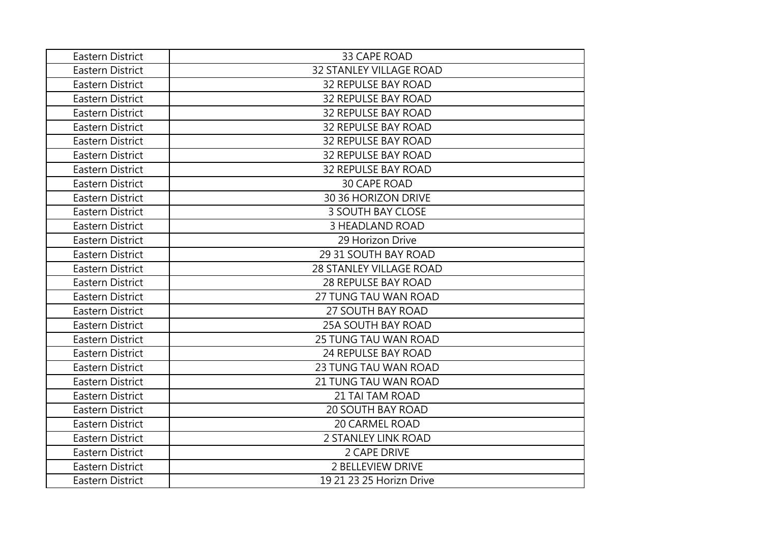| Eastern District        | 33 CAPE ROAD                   |
|-------------------------|--------------------------------|
| Eastern District        | <b>32 STANLEY VILLAGE ROAD</b> |
| Eastern District        | <b>32 REPULSE BAY ROAD</b>     |
| Eastern District        | <b>32 REPULSE BAY ROAD</b>     |
| Eastern District        | <b>32 REPULSE BAY ROAD</b>     |
| <b>Eastern District</b> | <b>32 REPULSE BAY ROAD</b>     |
| Eastern District        | <b>32 REPULSE BAY ROAD</b>     |
| Eastern District        | <b>32 REPULSE BAY ROAD</b>     |
| Eastern District        | <b>32 REPULSE BAY ROAD</b>     |
| Eastern District        | <b>30 CAPE ROAD</b>            |
| Eastern District        | 30 36 HORIZON DRIVE            |
| <b>Eastern District</b> | <b>3 SOUTH BAY CLOSE</b>       |
| <b>Eastern District</b> | <b>3 HEADLAND ROAD</b>         |
| Eastern District        | 29 Horizon Drive               |
| Eastern District        | 29 31 SOUTH BAY ROAD           |
| Eastern District        | <b>28 STANLEY VILLAGE ROAD</b> |
| <b>Eastern District</b> | <b>28 REPULSE BAY ROAD</b>     |
| <b>Eastern District</b> | 27 TUNG TAU WAN ROAD           |
| <b>Eastern District</b> | 27 SOUTH BAY ROAD              |
| Eastern District        | <b>25A SOUTH BAY ROAD</b>      |
| Eastern District        | <b>25 TUNG TAU WAN ROAD</b>    |
| Eastern District        | 24 REPULSE BAY ROAD            |
| Eastern District        | <b>23 TUNG TAU WAN ROAD</b>    |
| <b>Eastern District</b> | 21 TUNG TAU WAN ROAD           |
| Eastern District        | <b>21 TAI TAM ROAD</b>         |
| Eastern District        | <b>20 SOUTH BAY ROAD</b>       |
| Eastern District        | <b>20 CARMEL ROAD</b>          |
| Eastern District        | 2 STANLEY LINK ROAD            |
| Eastern District        | 2 CAPE DRIVE                   |
| Eastern District        | 2 BELLEVIEW DRIVE              |
| Eastern District        | 19 21 23 25 Horizn Drive       |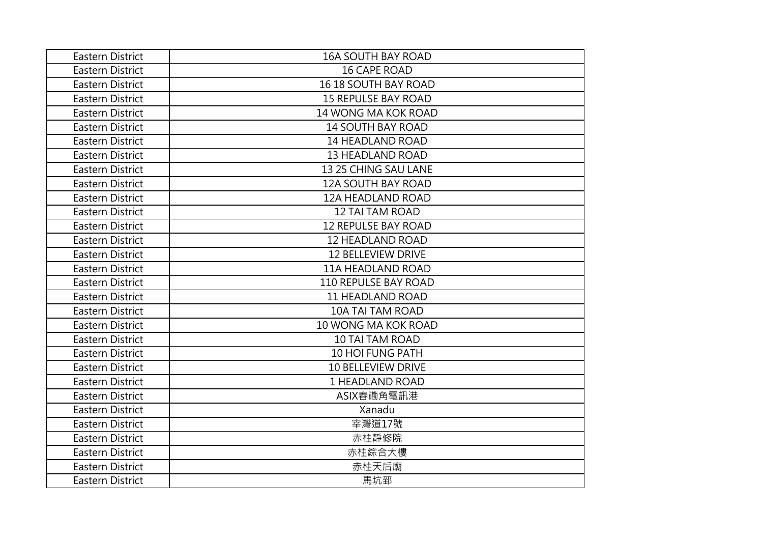| Eastern District        | <b>16A SOUTH BAY ROAD</b>   |
|-------------------------|-----------------------------|
| Eastern District        | <b>16 CAPE ROAD</b>         |
| Eastern District        | <b>16 18 SOUTH BAY ROAD</b> |
| Eastern District        | <b>15 REPULSE BAY ROAD</b>  |
| Eastern District        | 14 WONG MA KOK ROAD         |
| Eastern District        | <b>14 SOUTH BAY ROAD</b>    |
| Eastern District        | 14 HEADLAND ROAD            |
| <b>Eastern District</b> | <b>13 HEADLAND ROAD</b>     |
| <b>Eastern District</b> | 13 25 CHING SAU LANE        |
| Eastern District        | <b>12A SOUTH BAY ROAD</b>   |
| Eastern District        | 12A HEADLAND ROAD           |
| Eastern District        | <b>12 TAI TAM ROAD</b>      |
| <b>Eastern District</b> | <b>12 REPULSE BAY ROAD</b>  |
| Eastern District        | <b>12 HEADLAND ROAD</b>     |
| Eastern District        | <b>12 BELLEVIEW DRIVE</b>   |
| Eastern District        | <b>11A HEADLAND ROAD</b>    |
| Eastern District        | <b>110 REPULSE BAY ROAD</b> |
| Eastern District        | <b>11 HEADLAND ROAD</b>     |
| Eastern District        | <b>10A TAI TAM ROAD</b>     |
| <b>Eastern District</b> | 10 WONG MA KOK ROAD         |
| Eastern District        | <b>10 TAI TAM ROAD</b>      |
| <b>Eastern District</b> | <b>10 HOI FUNG PATH</b>     |
| <b>Eastern District</b> | 10 BELLEVIEW DRIVE          |
| <b>Eastern District</b> | 1 HEADLAND ROAD             |
| <b>Eastern District</b> | ASIX舂磡角電訊港                  |
| <b>Eastern District</b> | Xanadu                      |
| Eastern District        | 宰灣道17號                      |
| Eastern District        | 赤柱靜修院                       |
| <b>Eastern District</b> | 赤柱綜合大樓                      |
| Eastern District        | 赤柱天后廟                       |
| <b>Eastern District</b> | 馬坑郅                         |